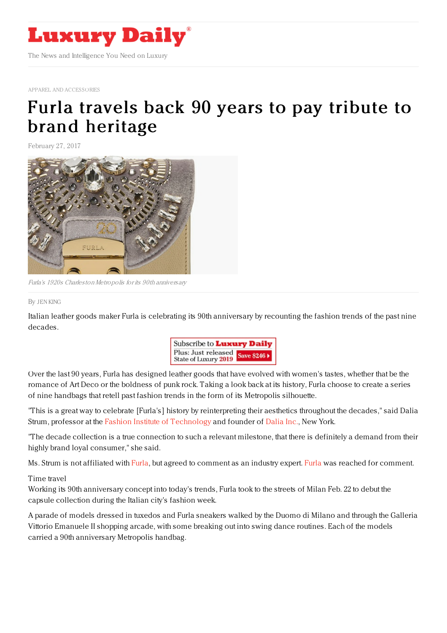

APPAREL AND [ACCESSORIES](https://www.luxurydaily.com/category/sectors/apparel-and-accessories/)

## Furla travels back 90 years to pay tribute to brand [heritage](https://www.luxurydaily.com/furla-travels-back-90-years-to-pay-tribute-to-brand-heritage/)

February 27, 2017



Furla's 1920s Charleston Metropolis for its 90th anniversary

## By JEN [KING](file:///author/jen-king)

Italian leather goods maker Furla is celebrating its 90th anniversary by recounting the fashion trends of the past nine decades.



Over the last 90 years, Furla has designed leather goods that have evolved with women's tastes, whether that be the romance of Art Deco or the boldness of punk rock. Taking a look back at its history, Furla choose to create a series of nine handbags that retell past fashion trends in the form of its Metropolis silhouette.

"This is a great way to celebrate [Furla's] history by reinterpreting their aesthetics throughout the decades," said Dalia Strum, professor at the Fashion Institute of [Technology](http://www.fitnyc.edu/) and founder of [Dalia](https://twitter.com/daliastrum) Inc., New York.

"The decade collection is a true connection to such a relevant milestone, that there is definitely a demand from their highly brand loyal consumer," she said.

Ms. Strum is not affiliated with [Furla](http://www.furla.com), but agreed to comment as an industry expert. [Furla](https://www.luxurydaily.com/?s=furla) was reached for comment.

## Time travel

Working its 90th anniversary concept into today's trends, Furla took to the streets of Milan Feb. 22 to debut the capsule collection during the Italian city's fashion week.

A parade of models dressed in tuxedos and Furla sneakers walked by the Duomo di Milano and through the Galleria Vittorio Emanuele II shopping arcade, with some breaking out into swing dance routines. Each of the models carried a 90th anniversary Metropolis handbag.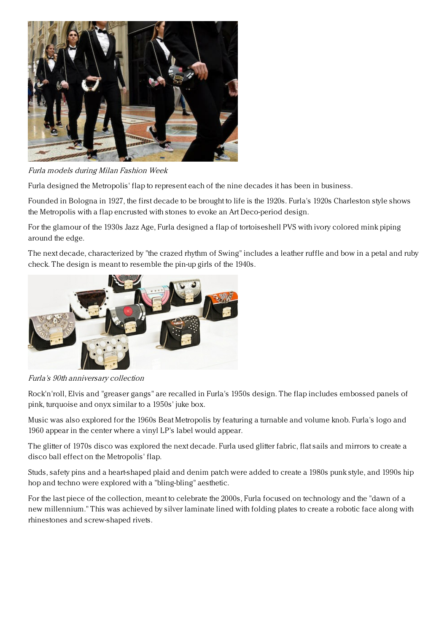

Furla models during Milan Fashion Week

Furla designed the Metropolis' flap to represent each of the nine decades it has been in business.

Founded in Bologna in 1927, the first decade to be brought to life is the 1920s. Furla's 1920s Charleston style shows the Metropolis with a flap encrusted with stones to evoke an Art Deco-period design.

For the glamour of the 1930s Jazz Age, Furla designed a flap of tortoiseshell PVS with ivory colored mink piping around the edge.

The next decade, characterized by "the crazed rhythm of Swing" includes a leather ruffle and bow in a petal and ruby check. The design is meant to resemble the pin-up girls of the 1940s.



Furla's 90th anniversary collection

Rock'n'roll, Elvis and "greaser gangs" are recalled in Furla's 1950s design. The flap includes embossed panels of pink, turquoise and onyx similar to a 1950s' juke box.

Music was also explored for the 1960s Beat Metropolis by featuring a turnable and volume knob. Furla's logo and 1960 appear in the center where a vinyl LP's label would appear.

The glitter of 1970s disco was explored the next decade. Furla used glitter fabric, flat sails and mirrors to create a disco ball effect on the Metropolis' flap.

Studs, safety pins and a heart-shaped plaid and denim patch were added to create a 1980s punk style, and 1990s hip hop and techno were explored with a "bling-bling" aesthetic.

For the last piece of the collection, meant to celebrate the 2000s, Furla focused on technology and the "dawn of a new millennium." This was achieved by silver laminate lined with folding plates to create a robotic face along with rhinestones and screw-shaped rivets.